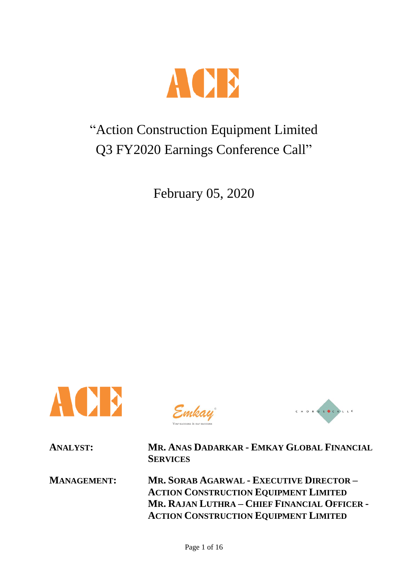

# "Action Construction Equipment Limited Q3 FY2020 Earnings Conference Call"

February 05, 2020



Emkay



**ANALYST: MR. ANAS DADARKAR - EMKAY GLOBAL FINANCIAL SERVICES**

**MANAGEMENT: MR. SORAB AGARWAL - EXECUTIVE DIRECTOR – ACTION CONSTRUCTION EQUIPMENT LIMITED MR. RAJAN LUTHRA – CHIEF FINANCIAL OFFICER - ACTION CONSTRUCTION EQUIPMENT LIMITED**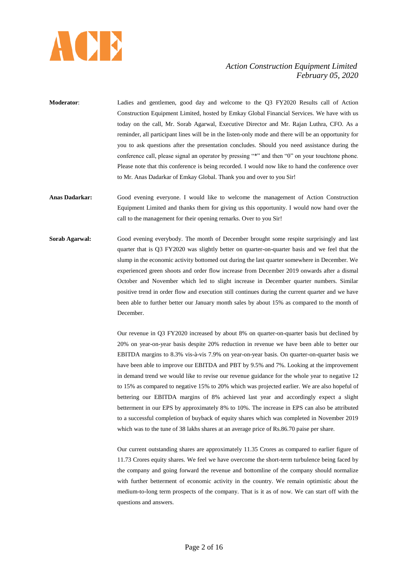

- **Moderator**: Ladies and gentlemen, good day and welcome to the Q3 FY2020 Results call of Action Construction Equipment Limited, hosted by Emkay Global Financial Services. We have with us today on the call, Mr. Sorab Agarwal, Executive Director and Mr. Rajan Luthra, CFO. As a reminder, all participant lines will be in the listen-only mode and there will be an opportunity for you to ask questions after the presentation concludes. Should you need assistance during the conference call, please signal an operator by pressing "\*" and then "0" on your touchtone phone. Please note that this conference is being recorded. I would now like to hand the conference over to Mr. Anas Dadarkar of Emkay Global. Thank you and over to you Sir!
- **Anas Dadarkar:** Good evening everyone. I would like to welcome the management of Action Construction Equipment Limited and thanks them for giving us this opportunity. I would now hand over the call to the management for their opening remarks. Over to you Sir!
- **Sorab Agarwal:** Good evening everybody. The month of December brought some respite surprisingly and last quarter that is Q3 FY2020 was slightly better on quarter-on-quarter basis and we feel that the slump in the economic activity bottomed out during the last quarter somewhere in December. We experienced green shoots and order flow increase from December 2019 onwards after a dismal October and November which led to slight increase in December quarter numbers. Similar positive trend in order flow and execution still continues during the current quarter and we have been able to further better our January month sales by about 15% as compared to the month of December.

Our revenue in Q3 FY2020 increased by about 8% on quarter-on-quarter basis but declined by 20% on year-on-year basis despite 20% reduction in revenue we have been able to better our EBITDA margins to 8.3% vis-à-vis 7.9% on year-on-year basis. On quarter-on-quarter basis we have been able to improve our EBITDA and PBT by 9.5% and 7%. Looking at the improvement in demand trend we would like to revise our revenue guidance for the whole year to negative 12 to 15% as compared to negative 15% to 20% which was projected earlier. We are also hopeful of bettering our EBITDA margins of 8% achieved last year and accordingly expect a slight betterment in our EPS by approximately 8% to 10%. The increase in EPS can also be attributed to a successful completion of buyback of equity shares which was completed in November 2019 which was to the tune of 38 lakhs shares at an average price of Rs.86.70 paise per share.

Our current outstanding shares are approximately 11.35 Crores as compared to earlier figure of 11.73 Crores equity shares. We feel we have overcome the short-term turbulence being faced by the company and going forward the revenue and bottomline of the company should normalize with further betterment of economic activity in the country. We remain optimistic about the medium-to-long term prospects of the company. That is it as of now. We can start off with the questions and answers.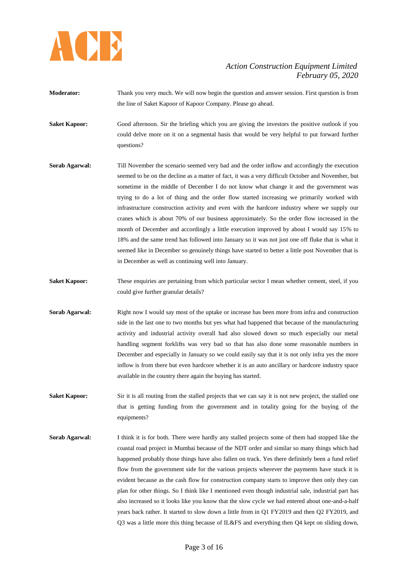

- **Moderator:** Thank you very much. We will now begin the question and answer session. First question is from the line of Saket Kapoor of Kapoor Company. Please go ahead.
- **Saket Kapoor:** Good afternoon. Sir the briefing which you are giving the investors the positive outlook if you could delve more on it on a segmental basis that would be very helpful to put forward further questions?
- **Sorab Agarwal:** Till November the scenario seemed very bad and the order inflow and accordingly the execution seemed to be on the decline as a matter of fact, it was a very difficult October and November, but sometime in the middle of December I do not know what change it and the government was trying to do a lot of thing and the order flow started increasing we primarily worked with infrastructure construction activity and even with the hardcore industry where we supply our cranes which is about 70% of our business approximately. So the order flow increased in the month of December and accordingly a little execution improved by about I would say 15% to 18% and the same trend has followed into January so it was not just one off fluke that is what it seemed like in December so genuinely things have started to better a little post November that is in December as well as continuing well into January.
- **Saket Kapoor:** These enquiries are pertaining from which particular sector I mean whether cement, steel, if you could give further granular details?
- **Sorab Agarwal:** Right now I would say most of the uptake or increase has been more from infra and construction side in the last one to two months but yes what had happened that because of the manufacturing activity and industrial activity overall had also slowed down so much especially our metal handling segment forklifts was very bad so that has also done some reasonable numbers in December and especially in January so we could easily say that it is not only infra yes the more inflow is from there but even hardcore whether it is an auto ancillary or hardcore industry space available in the country there again the buying has started.
- **Saket Kapoor:** Sir it is all routing from the stalled projects that we can say it is not new project, the stalled one that is getting funding from the government and in totality going for the buying of the equipments?
- **Sorab Agarwal:** I think it is for both. There were hardly any stalled projects some of them had stopped like the coastal road project in Mumbai because of the NDT order and similar so many things which had happened probably those things have also fallen on track. Yes there definitely been a fund relief flow from the government side for the various projects wherever the payments have stuck it is evident because as the cash flow for construction company starts to improve then only they can plan for other things. So I think like I mentioned even though industrial sale, industrial part has also increased so it looks like you know that the slow cycle we had entered about one-and-a-half years back rather. It started to slow down a little from in Q1 FY2019 and then Q2 FY2019, and Q3 was a little more this thing because of IL&FS and everything then Q4 kept on sliding down,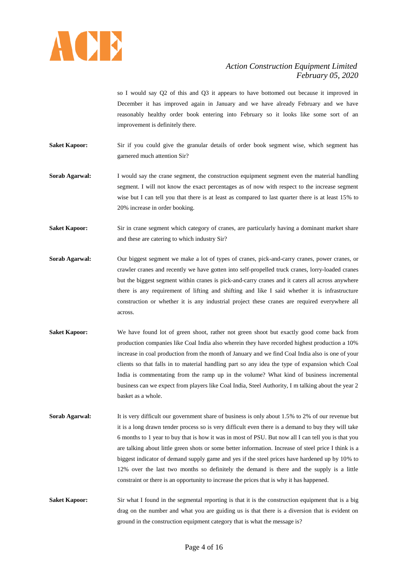

so I would say Q2 of this and Q3 it appears to have bottomed out because it improved in December it has improved again in January and we have already February and we have reasonably healthy order book entering into February so it looks like some sort of an improvement is definitely there.

**Saket Kapoor:** Sir if you could give the granular details of order book segment wise, which segment has garnered much attention Sir?

**Sorab Agarwal:** I would say the crane segment, the construction equipment segment even the material handling segment. I will not know the exact percentages as of now with respect to the increase segment wise but I can tell you that there is at least as compared to last quarter there is at least 15% to 20% increase in order booking.

**Saket Kapoor:** Sir in crane segment which category of cranes, are particularly having a dominant market share and these are catering to which industry Sir?

- **Sorab Agarwal:** Our biggest segment we make a lot of types of cranes, pick-and-carry cranes, power cranes, or crawler cranes and recently we have gotten into self-propelled truck cranes, lorry-loaded cranes but the biggest segment within cranes is pick-and-carry cranes and it caters all across anywhere there is any requirement of lifting and shifting and like I said whether it is infrastructure construction or whether it is any industrial project these cranes are required everywhere all across.
- Saket Kapoor: We have found lot of green shoot, rather not green shoot but exactly good come back from production companies like Coal India also wherein they have recorded highest production a 10% increase in coal production from the month of January and we find Coal India also is one of your clients so that falls in to material handling part so any idea the type of expansion which Coal India is commentating from the ramp up in the volume? What kind of business incremental business can we expect from players like Coal India, Steel Authority, I m talking about the year 2 basket as a whole.
- **Sorab Agarwal:** It is very difficult our government share of business is only about 1.5% to 2% of our revenue but it is a long drawn tender process so is very difficult even there is a demand to buy they will take 6 months to 1 year to buy that is how it was in most of PSU. But now all I can tell you is that you are talking about little green shots or some better information. Increase of steel price I think is a biggest indicator of demand supply game and yes if the steel prices have hardened up by 10% to 12% over the last two months so definitely the demand is there and the supply is a little constraint or there is an opportunity to increase the prices that is why it has happened.

**Saket Kapoor:** Sir what I found in the segmental reporting is that it is the construction equipment that is a big drag on the number and what you are guiding us is that there is a diversion that is evident on ground in the construction equipment category that is what the message is?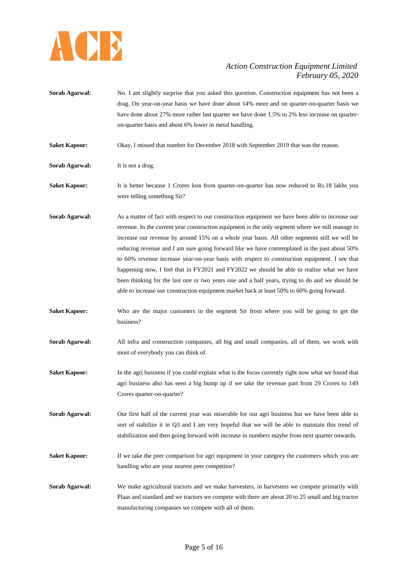

- **Sorab Agarwal:** No. I am slightly surprise that you asked this question. Construction equipment has not been a drag. On year-on-year basis we have done about 14% more and on quarter-on-quarter basis we have done about 27% more rather last quarter we have done 1.5% to 2% less increase on quarteron-quarter basis and about 6% lower in metal handling.
- **Saket Kapoor:** Okay, I missed that number for December 2018 with September 2019 that was the reason.
- **Sorab Agarwal:** It is not a drag.
- **Saket Kapoor:** It is better because 1 Crores loss from quarter-on-quarter has now reduced to Rs.18 lakhs you were telling something Sir?
- **Sorab Agarwal:** As a matter of fact with respect to our construction equipment we have been able to increase our revenue. In the current year construction equipment is the only segment where we still manage to increase our revenue by around 15% on a whole year basis. All other segments still we will be reducing revenue and I am sure going forward like we have contemplated in the past about 50% to 60% revenue increase year-on-year basis with respect to construction equipment. I see that happening now, I feel that in FY2021 and FY2022 we should be able to realize what we have been thinking for the last one or two years one and a half years, trying to do and we should be able to increase our construction equipment market back at least 50% to 60% going forward.
- **Saket Kapoor:** Who are the major customers in the segment Sir from where you will be going to get the business?
- **Sorab Agarwal:** All infra and construction companies, all big and small companies, all of them, we work with most of everybody you can think of.
- **Saket Kapoor:** In the agri business if you could explain what is the focus currently right now what we found that agri business also has seen a big bump up if we take the revenue part from 29 Crores to 149 Crores quarter-on-quarter?
- **Sorab Agarwal:** Our first half of the current year was miserable for our agri business but we have been able to sort of stabilize it in Q3 and I am very hopeful that we will be able to maintain this trend of stabilization and then going forward with increase in numbers maybe from next quarter onwards.
- **Saket Kapoor:** If we take the peer comparison for agri equipment in your category the customers which you are handling who are your nearest peer competitor?
- **Sorab Agarwal:** We make agricultural tractors and we make harvesters, in harvesters we compete primarily with Plaas and standard and we tractors we compete with there are about 20 to 25 small and big tractor manufacturing companies we compete with all of them.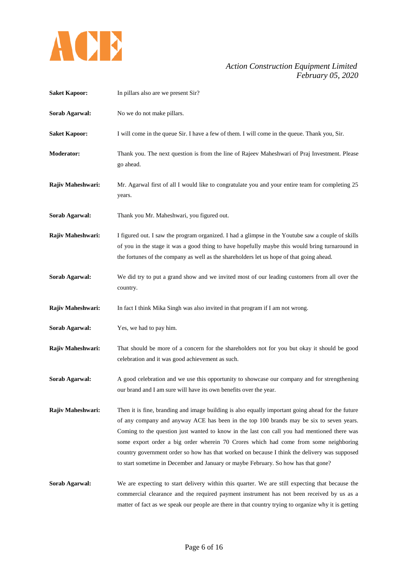

| <b>Saket Kapoor:</b>  | In pillars also are we present Sir?                                                                                                                                                                                                                                                                                                                                                                                                                                                                                                                                       |
|-----------------------|---------------------------------------------------------------------------------------------------------------------------------------------------------------------------------------------------------------------------------------------------------------------------------------------------------------------------------------------------------------------------------------------------------------------------------------------------------------------------------------------------------------------------------------------------------------------------|
| Sorab Agarwal:        | No we do not make pillars.                                                                                                                                                                                                                                                                                                                                                                                                                                                                                                                                                |
| <b>Saket Kapoor:</b>  | I will come in the queue Sir. I have a few of them. I will come in the queue. Thank you, Sir.                                                                                                                                                                                                                                                                                                                                                                                                                                                                             |
| <b>Moderator:</b>     | Thank you. The next question is from the line of Rajeev Maheshwari of Praj Investment. Please<br>go ahead.                                                                                                                                                                                                                                                                                                                                                                                                                                                                |
| Rajiv Maheshwari:     | Mr. Agarwal first of all I would like to congratulate you and your entire team for completing 25<br>years.                                                                                                                                                                                                                                                                                                                                                                                                                                                                |
| Sorab Agarwal:        | Thank you Mr. Maheshwari, you figured out.                                                                                                                                                                                                                                                                                                                                                                                                                                                                                                                                |
| Rajiv Maheshwari:     | I figured out. I saw the program organized. I had a glimpse in the Youtube saw a couple of skills<br>of you in the stage it was a good thing to have hopefully maybe this would bring turnaround in<br>the fortunes of the company as well as the shareholders let us hope of that going ahead.                                                                                                                                                                                                                                                                           |
| Sorab Agarwal:        | We did try to put a grand show and we invited most of our leading customers from all over the<br>country.                                                                                                                                                                                                                                                                                                                                                                                                                                                                 |
| Rajiv Maheshwari:     | In fact I think Mika Singh was also invited in that program if I am not wrong.                                                                                                                                                                                                                                                                                                                                                                                                                                                                                            |
| Sorab Agarwal:        | Yes, we had to pay him.                                                                                                                                                                                                                                                                                                                                                                                                                                                                                                                                                   |
| Rajiv Maheshwari:     | That should be more of a concern for the shareholders not for you but okay it should be good<br>celebration and it was good achievement as such.                                                                                                                                                                                                                                                                                                                                                                                                                          |
| <b>Sorab Agarwal:</b> | A good celebration and we use this opportunity to showcase our company and for strengthening<br>our brand and I am sure will have its own benefits over the year.                                                                                                                                                                                                                                                                                                                                                                                                         |
| Rajiv Maheshwari:     | Then it is fine, branding and image building is also equally important going ahead for the future<br>of any company and anyway ACE has been in the top 100 brands may be six to seven years.<br>Coming to the question just wanted to know in the last con call you had mentioned there was<br>some export order a big order wherein 70 Crores which had come from some neighboring<br>country government order so how has that worked on because I think the delivery was supposed<br>to start sometime in December and January or maybe February. So how has that gone? |
| Sorab Agarwal:        | We are expecting to start delivery within this quarter. We are still expecting that because the<br>commercial clearance and the required payment instrument has not been received by us as a<br>matter of fact as we speak our people are there in that country trying to organize why it is getting                                                                                                                                                                                                                                                                      |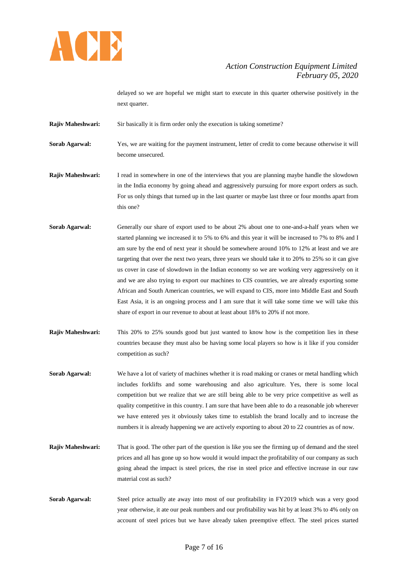

delayed so we are hopeful we might start to execute in this quarter otherwise positively in the next quarter.

**Rajiv Maheshwari:** Sir basically it is firm order only the execution is taking sometime?

**Sorab Agarwal:** Yes, we are waiting for the payment instrument, letter of credit to come because otherwise it will become unsecured.

**Rajiv Maheshwari:** I read in somewhere in one of the interviews that you are planning maybe handle the slowdown in the India economy by going ahead and aggressively pursuing for more export orders as such. For us only things that turned up in the last quarter or maybe last three or four months apart from this one?

- **Sorab Agarwal:** Generally our share of export used to be about 2% about one to one-and-a-half years when we started planning we increased it to 5% to 6% and this year it will be increased to 7% to 8% and I am sure by the end of next year it should be somewhere around 10% to 12% at least and we are targeting that over the next two years, three years we should take it to 20% to 25% so it can give us cover in case of slowdown in the Indian economy so we are working very aggressively on it and we are also trying to export our machines to CIS countries, we are already exporting some African and South American countries, we will expand to CIS, more into Middle East and South East Asia, it is an ongoing process and I am sure that it will take some time we will take this share of export in our revenue to about at least about 18% to 20% if not more.
- **Rajiv Maheshwari:** This 20% to 25% sounds good but just wanted to know how is the competition lies in these countries because they must also be having some local players so how is it like if you consider competition as such?
- **Sorab Agarwal:** We have a lot of variety of machines whether it is road making or cranes or metal handling which includes forklifts and some warehousing and also agriculture. Yes, there is some local competition but we realize that we are still being able to be very price competitive as well as quality competitive in this country. I am sure that have been able to do a reasonable job wherever we have entered yes it obviously takes time to establish the brand locally and to increase the numbers it is already happening we are actively exporting to about 20 to 22 countries as of now.
- **Rajiv Maheshwari:** That is good. The other part of the question is like you see the firming up of demand and the steel prices and all has gone up so how would it would impact the profitability of our company as such going ahead the impact is steel prices, the rise in steel price and effective increase in our raw material cost as such?
- **Sorab Agarwal:** Steel price actually ate away into most of our profitability in FY2019 which was a very good year otherwise, it ate our peak numbers and our profitability was hit by at least 3% to 4% only on account of steel prices but we have already taken preemptive effect. The steel prices started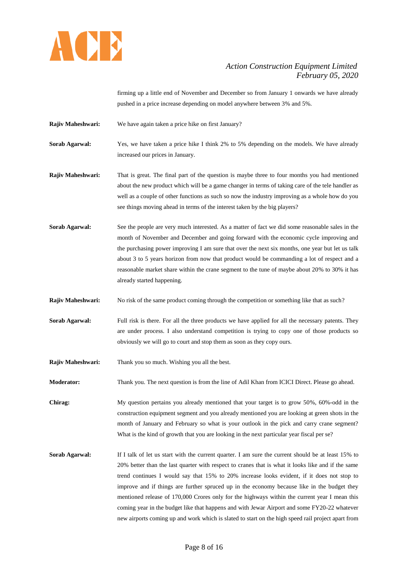

firming up a little end of November and December so from January 1 onwards we have already pushed in a price increase depending on model anywhere between 3% and 5%.

**Rajiv Maheshwari:** We have again taken a price hike on first January?

**Sorab Agarwal:** Yes, we have taken a price hike I think 2% to 5% depending on the models. We have already increased our prices in January.

**Rajiv Maheshwari:** That is great. The final part of the question is maybe three to four months you had mentioned about the new product which will be a game changer in terms of taking care of the tele handler as well as a couple of other functions as such so now the industry improving as a whole how do you see things moving ahead in terms of the interest taken by the big players?

- **Sorab Agarwal:** See the people are very much interested. As a matter of fact we did some reasonable sales in the month of November and December and going forward with the economic cycle improving and the purchasing power improving I am sure that over the next six months, one year but let us talk about 3 to 5 years horizon from now that product would be commanding a lot of respect and a reasonable market share within the crane segment to the tune of maybe about 20% to 30% it has already started happening.
- **Rajiv Maheshwari:** No risk of the same product coming through the competition or something like that as such?
- **Sorab Agarwal:** Full risk is there. For all the three products we have applied for all the necessary patents. They are under process. I also understand competition is trying to copy one of those products so obviously we will go to court and stop them as soon as they copy ours.
- **Rajiv Maheshwari:** Thank you so much. Wishing you all the best.

**Moderator:** Thank you. The next question is from the line of Adil Khan from ICICI Direct. Please go ahead.

**Chirag:** My question pertains you already mentioned that your target is to grow 50%, 60%-odd in the construction equipment segment and you already mentioned you are looking at green shots in the month of January and February so what is your outlook in the pick and carry crane segment? What is the kind of growth that you are looking in the next particular year fiscal per se?

**Sorab Agarwal:** If I talk of let us start with the current quarter. I am sure the current should be at least 15% to 20% better than the last quarter with respect to cranes that is what it looks like and if the same trend continues I would say that 15% to 20% increase looks evident, if it does not stop to improve and if things are further spruced up in the economy because like in the budget they mentioned release of 170,000 Crores only for the highways within the current year I mean this coming year in the budget like that happens and with Jewar Airport and some FY20-22 whatever new airports coming up and work which is slated to start on the high speed rail project apart from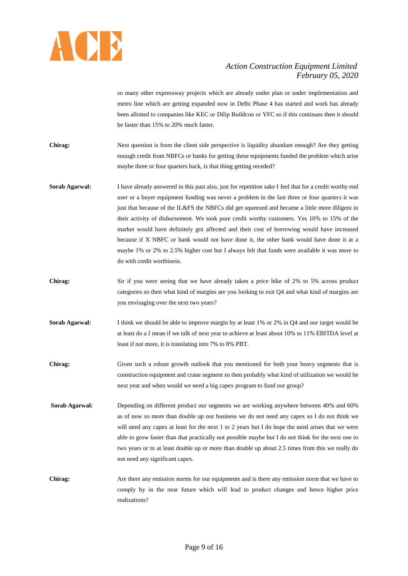

so many other expressway projects which are already under plan or under implementation and metro line which are getting expanded now in Delhi Phase 4 has started and work has already been allotted to companies like KEC or Dilip Buildcon or YFC so if this continues then it should be faster than 15% to 20% much faster.

- **Chirag:** Next question is from the client side perspective is liquidity abundant enough? Are they getting enough credit from NBFCs or banks for getting these equipments funded the problem which arise maybe three or four quarters back, is that thing getting receded?
- **Sorab Agarwal:** I have already answered in this past also, just for repetition sake I feel that for a credit worthy end user or a buyer equipment funding was never a problem in the last three or four quarters it was just that because of the IL&FS the NBFCs did get squeezed and became a little more diligent in their activity of disbursement. We took pure credit worthy customers. Yes 10% to 15% of the market would have definitely got affected and their cost of borrowing would have increased because if X NBFC or bank would not have done it, the other bank would have done it at a maybe 1% or 2% to 2.5% higher cost but I always felt that funds were available it was more to do with credit worthiness.
- **Chirag:** Sir if you were seeing that we have already taken a price hike of 2% to 5% across product categories so then what kind of margins are you looking to exit Q4 and what kind of margins are you envisaging over the next two years?
- **Sorab Agarwal:** I think we should be able to improve margin by at least 1% or 2% in Q4 and our target would be at least do a I mean if we talk of next year to achieve at least about 10% to 11% EBITDA level at least if not more, it is translating into 7% to 8% PBT.
- **Chirag:** Given such a robust growth outlook that you mentioned for both your heavy segments that is construction equipment and crane segment so then probably what kind of utilization we would be next year and when would we need a big capex program to fund our group?
- **Sorab Agarwal:** Depending on different product our segments we are working anywhere between 40% and 60% as of now so more than double up our business we do not need any capex so I do not think we will need any capex at least for the next 1 to 2 years but I do hope the need arises that we were able to grow faster than that practically not possible maybe but I do not think for the next one to two years or to at least double up or more than double up about 2.5 times from this we really do not need any significant capex.
- **Chirag:** Are there any emission norms for our equipments and is there any emission norm that we have to comply by in the near future which will lead to product changes and hence higher price realizations?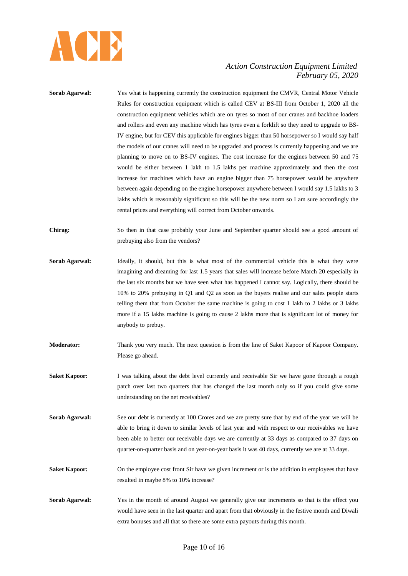

**Sorab Agarwal:** Yes what is happening currently the construction equipment the CMVR, Central Motor Vehicle Rules for construction equipment which is called CEV at BS-III from October 1, 2020 all the construction equipment vehicles which are on tyres so most of our cranes and backhoe loaders and rollers and even any machine which has tyres even a forklift so they need to upgrade to BS-IV engine, but for CEV this applicable for engines bigger than 50 horsepower so I would say half the models of our cranes will need to be upgraded and process is currently happening and we are planning to move on to BS-IV engines. The cost increase for the engines between 50 and 75 would be either between 1 lakh to 1.5 lakhs per machine approximately and then the cost increase for machines which have an engine bigger than 75 horsepower would be anywhere between again depending on the engine horsepower anywhere between I would say 1.5 lakhs to 3 lakhs which is reasonably significant so this will be the new norm so I am sure accordingly the rental prices and everything will correct from October onwards. **Chirag:** So then in that case probably your June and September quarter should see a good amount of prebuying also from the vendors? **Sorab Agarwal:** Ideally, it should, but this is what most of the commercial vehicle this is what they were imagining and dreaming for last 1.5 years that sales will increase before March 20 especially in the last six months but we have seen what has happened I cannot say. Logically, there should be 10% to 20% prebuying in Q1 and Q2 as soon as the buyers realise and our sales people starts telling them that from October the same machine is going to cost 1 lakh to 2 lakhs or 3 lakhs more if a 15 lakhs machine is going to cause 2 lakhs more that is significant lot of money for anybody to prebuy. **Moderator:** Thank you very much. The next question is from the line of Saket Kapoor of Kapoor Company. Please go ahead. **Saket Kapoor:** I was talking about the debt level currently and receivable Sir we have gone through a rough patch over last two quarters that has changed the last month only so if you could give some understanding on the net receivables? **Sorab Agarwal:** See our debt is currently at 100 Crores and we are pretty sure that by end of the year we will be able to bring it down to similar levels of last year and with respect to our receivables we have been able to better our receivable days we are currently at 33 days as compared to 37 days on quarter-on-quarter basis and on year-on-year basis it was 40 days, currently we are at 33 days. **Saket Kapoor:** On the employee cost front Sir have we given increment or is the addition in employees that have resulted in maybe 8% to 10% increase? **Sorab Agarwal:** Yes in the month of around August we generally give our increments so that is the effect you would have seen in the last quarter and apart from that obviously in the festive month and Diwali extra bonuses and all that so there are some extra payouts during this month.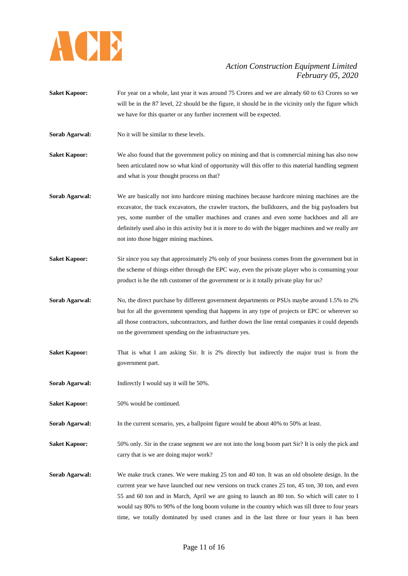

- **Saket Kapoor:** For year on a whole, last year it was around 75 Crores and we are already 60 to 63 Crores so we will be in the 87 level, 22 should be the figure, it should be in the vicinity only the figure which we have for this quarter or any further increment will be expected.
- **Sorab Agarwal:** No it will be similar to these levels.

**Saket Kapoor:** We also found that the government policy on mining and that is commercial mining has also now been articulated now so what kind of opportunity will this offer to this material handling segment and what is your thought process on that?

- **Sorab Agarwal:** We are basically not into hardcore mining machines because hardcore mining machines are the excavator, the track excavators, the crawler tractors, the bulldozers, and the big payloaders but yes, some number of the smaller machines and cranes and even some backhoes and all are definitely used also in this activity but it is more to do with the bigger machines and we really are not into those bigger mining machines.
- **Saket Kapoor:** Sir since you say that approximately 2% only of your business comes from the government but in the scheme of things either through the EPC way, even the private player who is consuming your product is he the nth customer of the government or is it totally private play for us?
- **Sorab Agarwal:** No, the direct purchase by different government departments or PSUs maybe around 1.5% to 2% but for all the government spending that happens in any type of projects or EPC or wherever so all those contractors, subcontractors, and further down the line rental companies it could depends on the government spending on the infrastructure yes.
- **Saket Kapoor:** That is what I am asking Sir. It is 2% directly but indirectly the major trust is from the government part.
- **Sorab Agarwal:** Indirectly I would say it will be 50%.
- **Saket Kapoor:** 50% would be continued.
- **Sorab Agarwal:** In the current scenario, yes, a ballpoint figure would be about 40% to 50% at least.
- **Saket Kapoor:** 50% only. Sir in the crane segment we are not into the long boom part Sir? It is only the pick and carry that is we are doing major work?
- **Sorab Agarwal:** We make truck cranes. We were making 25 ton and 40 ton. It was an old obsolete design. In the current year we have launched our new versions on truck cranes 25 ton, 45 ton, 30 ton, and even 55 and 60 ton and in March, April we are going to launch an 80 ton. So which will cater to I would say 80% to 90% of the long boom volume in the country which was till three to four years time, we totally dominated by used cranes and in the last three or four years it has been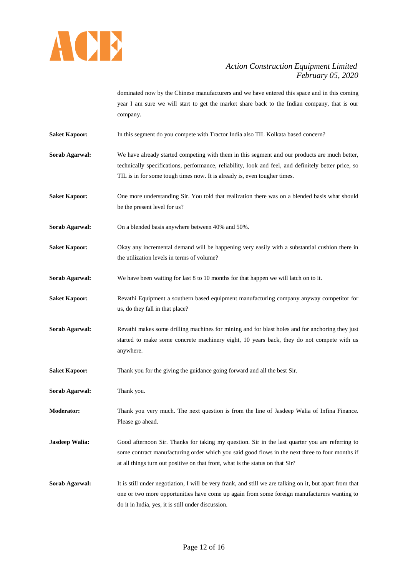

dominated now by the Chinese manufacturers and we have entered this space and in this coming year I am sure we will start to get the market share back to the Indian company, that is our company.

- **Saket Kapoor:** In this segment do you compete with Tractor India also TIL Kolkata based concern?
- **Sorab Agarwal:** We have already started competing with them in this segment and our products are much better, technically specifications, performance, reliability, look and feel, and definitely better price, so TIL is in for some tough times now. It is already is, even tougher times.
- **Saket Kapoor:** One more understanding Sir. You told that realization there was on a blended basis what should be the present level for us?
- **Sorab Agarwal:** On a blended basis anywhere between 40% and 50%.
- **Saket Kapoor:** Okay any incremental demand will be happening very easily with a substantial cushion there in the utilization levels in terms of volume?
- **Sorab Agarwal:** We have been waiting for last 8 to 10 months for that happen we will latch on to it.
- **Saket Kapoor:** Revathi Equipment a southern based equipment manufacturing company anyway competitor for us, do they fall in that place?
- **Sorab Agarwal:** Revathi makes some drilling machines for mining and for blast holes and for anchoring they just started to make some concrete machinery eight, 10 years back, they do not compete with us anywhere.
- **Saket Kapoor:** Thank you for the giving the guidance going forward and all the best Sir.
- **Sorab Agarwal:** Thank you.
- **Moderator:** Thank you very much. The next question is from the line of Jasdeep Walia of Infina Finance. Please go ahead.
- **Jasdeep Walia:** Good afternoon Sir. Thanks for taking my question. Sir in the last quarter you are referring to some contract manufacturing order which you said good flows in the next three to four months if at all things turn out positive on that front, what is the status on that Sir?
- **Sorab Agarwal:** It is still under negotiation, I will be very frank, and still we are talking on it, but apart from that one or two more opportunities have come up again from some foreign manufacturers wanting to do it in India, yes, it is still under discussion.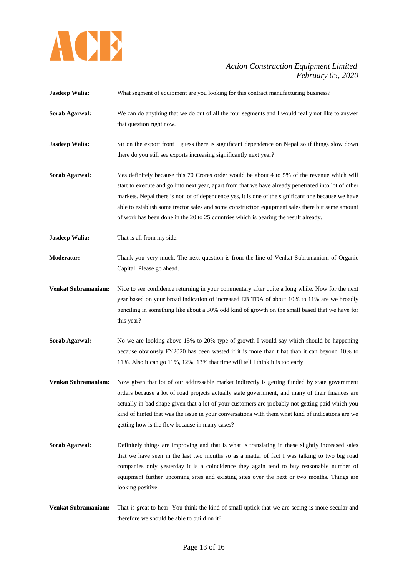

**Jasdeep Walia:** What segment of equipment are you looking for this contract manufacturing business?

- **Sorab Agarwal:** We can do anything that we do out of all the four segments and I would really not like to answer that question right now.
- **Jasdeep Walia:** Sir on the export front I guess there is significant dependence on Nepal so if things slow down there do you still see exports increasing significantly next year?
- **Sorab Agarwal:** Yes definitely because this 70 Crores order would be about 4 to 5% of the revenue which will start to execute and go into next year, apart from that we have already penetrated into lot of other markets. Nepal there is not lot of dependence yes, it is one of the significant one because we have able to establish some tractor sales and some construction equipment sales there but same amount of work has been done in the 20 to 25 countries which is bearing the result already.
- **Jasdeep Walia:** That is all from my side.
- **Moderator:** Thank you very much. The next question is from the line of Venkat Subramaniam of Organic Capital. Please go ahead.
- **Venkat Subramaniam:** Nice to see confidence returning in your commentary after quite a long while. Now for the next year based on your broad indication of increased EBITDA of about 10% to 11% are we broadly penciling in something like about a 30% odd kind of growth on the small based that we have for this year?
- **Sorab Agarwal:** No we are looking above 15% to 20% type of growth I would say which should be happening because obviously FY2020 has been wasted if it is more than t hat than it can beyond 10% to 11%. Also it can go 11%, 12%, 13% that time will tell I think it is too early.
- **Venkat Subramaniam:** Now given that lot of our addressable market indirectly is getting funded by state government orders because a lot of road projects actually state government, and many of their finances are actually in bad shape given that a lot of your customers are probably not getting paid which you kind of hinted that was the issue in your conversations with them what kind of indications are we getting how is the flow because in many cases?
- **Sorab Agarwal:** Definitely things are improving and that is what is translating in these slightly increased sales that we have seen in the last two months so as a matter of fact I was talking to two big road companies only yesterday it is a coincidence they again tend to buy reasonable number of equipment further upcoming sites and existing sites over the next or two months. Things are looking positive.
- **Venkat Subramaniam:** That is great to hear. You think the kind of small uptick that we are seeing is more secular and therefore we should be able to build on it?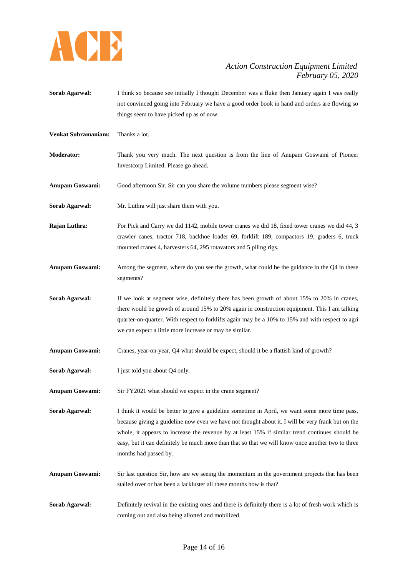

**Sorab Agarwal:** I think so because see initially I thought December was a fluke then January again I was really not convinced going into February we have a good order book in hand and orders are flowing so things seem to have picked up as of now.

**Venkat Subramaniam:** Thanks a lot.

- **Moderator:** Thank you very much. The next question is from the line of Anupam Goswami of Pioneer Investcorp Limited. Please go ahead.
- **Anupam Goswami:** Good afternoon Sir. Sir can you share the volume numbers please segment wise?
- **Sorab Agarwal:** Mr. Luthra will just share them with you.
- **Rajan Luthra:** For Pick and Carry we did 1142, mobile tower cranes we did 18, fixed tower cranes we did 44, 3 crawler canes, tractor 718, backhoe loader 69, forklift 189, compactors 19, graders 6, truck mounted cranes 4, harvesters 64, 295 rotavators and 5 piling rigs.
- **Anupam Goswami:** Among the segment, where do you see the growth, what could be the guidance in the Q4 in these segments?
- **Sorab Agarwal:** If we look at segment wise, definitely there has been growth of about 15% to 20% in cranes, there would be growth of around 15% to 20% again in construction equipment. This I am talking quarter-on-quarter. With respect to forklifts again may be a 10% to 15% and with respect to agri we can expect a little more increase or may be similar.
- **Anupam Goswami:** Cranes, year-on-year, Q4 what should be expect, should it be a flattish kind of growth?
- **Sorab Agarwal:** I just told you about Q4 only.

**Anupam Goswami:** Sir FY2021 what should we expect in the crane segment?

**Sorab Agarwal:** I think it would be better to give a guideline sometime in April, we want some more time pass, because giving a guideline now even we have not thought about it. I will be very frank but on the whole, it appears to increase the revenue by at least 15% if similar trend continues should be easy, but it can definitely be much more than that so that we will know once another two to three months had passed by.

- **Anupam Goswami:** Sir last question Sir, how are we seeing the momentum in the government projects that has been stalled over or has been a lackluster all these months how is that?
- **Sorab Agarwal:** Definitely revival in the existing ones and there is definitely there is a lot of fresh work which is coming out and also being allotted and mobilized.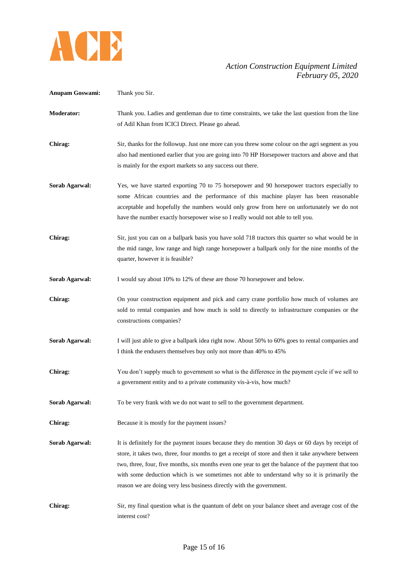

| <b>Anupam Goswami:</b> | Thank you Sir.                                                                                                                                                                                                                                                                                                                                                                                                                                                                       |
|------------------------|--------------------------------------------------------------------------------------------------------------------------------------------------------------------------------------------------------------------------------------------------------------------------------------------------------------------------------------------------------------------------------------------------------------------------------------------------------------------------------------|
| <b>Moderator:</b>      | Thank you. Ladies and gentleman due to time constraints, we take the last question from the line<br>of Adil Khan from ICICI Direct. Please go ahead.                                                                                                                                                                                                                                                                                                                                 |
| Chirag:                | Sir, thanks for the followup. Just one more can you threw some colour on the agri segment as you<br>also had mentioned earlier that you are going into 70 HP Horsepower tractors and above and that<br>is mainly for the export markets so any success out there.                                                                                                                                                                                                                    |
| Sorab Agarwal:         | Yes, we have started exporting 70 to 75 horsepower and 90 horsepower tractors especially to<br>some African countries and the performance of this machine player has been reasonable<br>acceptable and hopefully the numbers would only grow from here on unfortunately we do not<br>have the number exactly horsepower wise so I really would not able to tell you.                                                                                                                 |
| Chirag:                | Sir, just you can on a ballpark basis you have sold 718 tractors this quarter so what would be in<br>the mid range, low range and high range horsepower a ballpark only for the nine months of the<br>quarter, however it is feasible?                                                                                                                                                                                                                                               |
| Sorab Agarwal:         | I would say about 10% to 12% of these are those 70 horsepower and below.                                                                                                                                                                                                                                                                                                                                                                                                             |
| Chirag:                | On your construction equipment and pick and carry crane portfolio how much of volumes are<br>sold to rental companies and how much is sold to directly to infrastructure companies or the<br>constructions companies?                                                                                                                                                                                                                                                                |
| Sorab Agarwal:         | I will just able to give a ballpark idea right now. About 50% to 60% goes to rental companies and<br>I think the endusers themselves buy only not more than 40% to 45%                                                                                                                                                                                                                                                                                                               |
| Chirag:                | You don't supply much to government so what is the difference in the payment cycle if we sell to<br>a government entity and to a private community vis-à-vis, how much?                                                                                                                                                                                                                                                                                                              |
| Sorab Agarwal:         | To be very frank with we do not want to sell to the government department.                                                                                                                                                                                                                                                                                                                                                                                                           |
| Chirag:                | Because it is mostly for the payment issues?                                                                                                                                                                                                                                                                                                                                                                                                                                         |
| Sorab Agarwal:         | It is definitely for the payment issues because they do mention 30 days or 60 days by receipt of<br>store, it takes two, three, four months to get a receipt of store and then it take anywhere between<br>two, three, four, five months, six months even one year to get the balance of the payment that too<br>with some deduction which is we sometimes not able to understand why so it is primarily the<br>reason we are doing very less business directly with the government. |
| Chirag:                | Sir, my final question what is the quantum of debt on your balance sheet and average cost of the<br>interest cost?                                                                                                                                                                                                                                                                                                                                                                   |